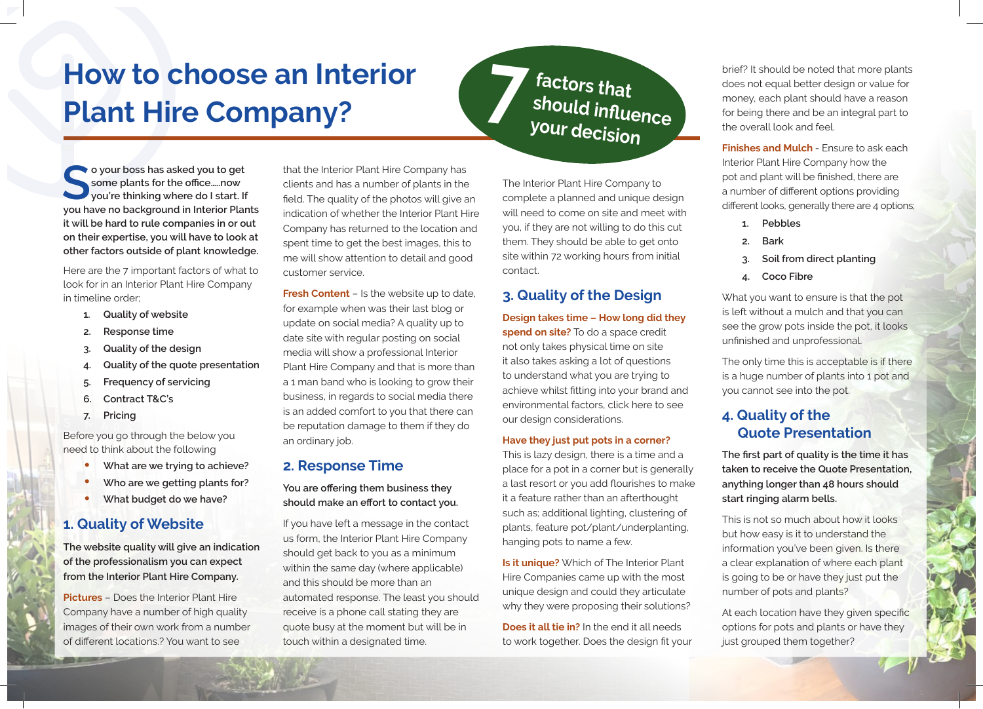## **How to choose an Interior Plant Hire Company? 7** *Plant Hire Company?*

**Some plants for the office.....now**<br> **Some plants for the office.....now**<br>
you're thinking where do I start. If **some plants for the office…..now you have no background in Interior Plants it will be hard to rule companies in or out on their expertise, you will have to look at other factors outside of plant knowledge.** 

Here are the 7 important factors of what to look for in an Interior Plant Hire Company in timeline order;

- **1. Quality of website**
- **2. Response time**
- **3. Quality of the design**
- **4. Quality of the quote presentation**
- **5. Frequency of servicing**
- **6. Contract T&C's**
- **7. Pricing**

Before you go through the below you need to think about the following

- **• What are we trying to achieve?**
- **• Who are we getting plants for?**
- **• What budget do we have?**

#### **1. Quality of Website**

**The website quality will give an indication of the professionalism you can expect from the Interior Plant Hire Company.**

**Pictures** – Does the Interior Plant Hire Company have a number of high quality images of their own work from a number of different locations.? You want to see

that the Interior Plant Hire Company has clients and has a number of plants in the field. The quality of the photos will give an indication of whether the Interior Plant Hire Company has returned to the location and spent time to get the best images, this to me will show attention to detail and good customer service.

**Fresh Content** – Is the website up to date, for example when was their last blog or update on social media? A quality up to date site with regular posting on social media will show a professional Interior Plant Hire Company and that is more than a 1 man band who is looking to grow their business, in regards to social media there is an added comfort to you that there can be reputation damage to them if they do an ordinary job.

#### **2. Response Time**

**You are offering them business they should make an effort to contact you.**

If you have left a message in the contact us form, the Interior Plant Hire Company should get back to you as a minimum within the same day (where applicable) and this should be more than an automated response. The least you should receive is a phone call stating they are quote busy at the moment but will be in touch within a designated time.

# **should influence your decision**

The Interior Plant Hire Company to complete a planned and unique design will need to come on site and meet with you, if they are not willing to do this cut them. They should be able to get onto site within 72 working hours from initial contact.

#### **3. Quality of the Design**

**Design takes time – How long did they spend on site?** To do a space credit not only takes physical time on site it also takes asking a lot of questions to understand what you are trying to achieve whilst fitting into your brand and environmental factors, click here to see our design considerations.

#### **Have they just put pots in a corner?**

This is lazy design, there is a time and a place for a pot in a corner but is generally a last resort or you add flourishes to make it a feature rather than an afterthought such as; additional lighting, clustering of plants, feature pot/plant/underplanting, hanging pots to name a few.

**Is it unique?** Which of The Interior Plant Hire Companies came up with the most unique design and could they articulate why they were proposing their solutions?

**Does it all tie in?** In the end it all needs to work together. Does the design fit your brief? It should be noted that more plants does not equal better design or value for money, each plant should have a reason for being there and be an integral part to the overall look and feel.

**Finishes and Mulch** - Ensure to ask each Interior Plant Hire Company how the pot and plant will be finished, there are a number of different options providing different looks, generally there are 4 options;

- **1. Pebbles**
- **2. Bark**
- **3. Soil from direct planting**
- **4. Coco Fibre**

What you want to ensure is that the pot is left without a mulch and that you can see the grow pots inside the pot, it looks unfinished and unprofessional.

The only time this is acceptable is if there is a huge number of plants into 1 pot and you cannot see into the pot.

#### **4. Quality of the Quote Presentation**

**The first part of quality is the time it has taken to receive the Quote Presentation, anything longer than 48 hours should start ringing alarm bells.**

This is not so much about how it looks but how easy is it to understand the information you've been given. Is there a clear explanation of where each plant is going to be or have they just put the number of pots and plants?

At each location have they given specific options for pots and plants or have they just grouped them together?